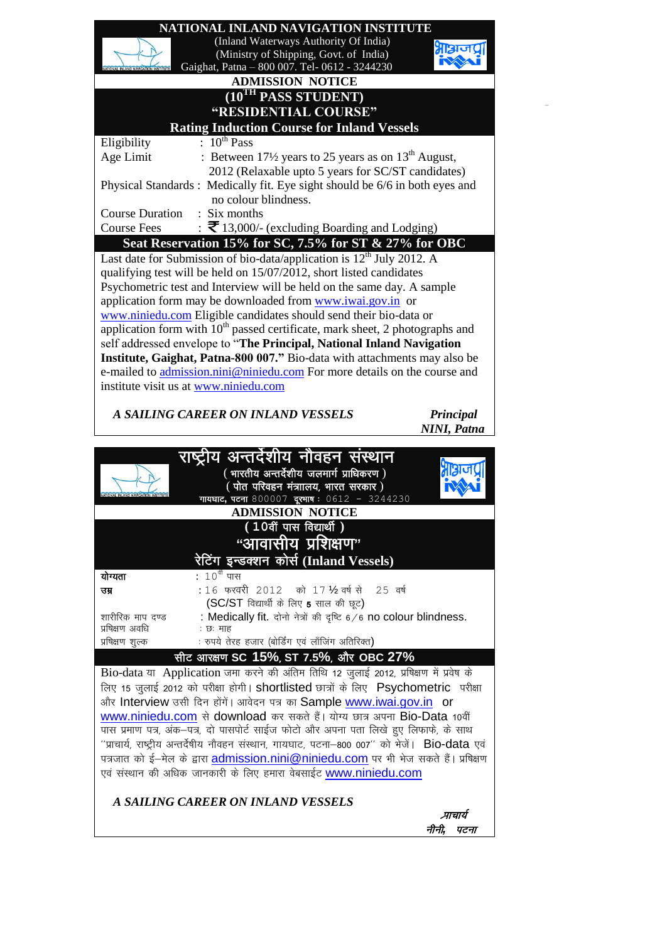



प्रषिक्षण अवधि<br>प्रषिक्षण शुल्क : रुपये तेरह हजार (बोर्डिंग एवं लाँजिंग अतिरिक्त)  $R$  अरक्षण SC 15%, ST 7.5%, और OBC 27% Bio-data या Application जमा करने की अंतिम तिथि 12 जूलाई 2012, प्रषिक्षण में प्रवेष के लिए 15 जुलाई 2012 को परीक्षा होगी। shortlisted छात्रों के लिए Psychometric परीक्षा और Interview उसी दिन होंगें। आवेदन पत्र का Sample [www.iwai.gov.in](http://www.iwai.gov.in/) or [www.niniedu.com](http://www.niniedu.com/) से download कर सकते हैं। योग्य छात्र अपना Bio-Data 10वीं uस प्रमाण पत्र, अंक-पत्र, दो पासपोर्ट साईज फोटो और अपना पता लिखे हुए लिफाफे, के साथ  $^{\prime\prime}$ प्राचार्य. राष्ट्रीय अन्तर्देषीय नौवहन संस्थान. गायघाट. पटना–800 007 $^{\prime\prime}$  को भेजें।  $\,$  Bio-data एवं पत्रजात को ई-मेल के द्वारा [admission.nini@niniedu.com](mailto:admission.nini@niniedu.com) पर भी भेज सकते हैं। प्रषिक्षण एवं संस्थान की अधिक जानकारी के लिए हमारा वेबसाईट [www.niniedu.com](http://www.niniedu.com/)

## *A SAILING CAREER ON INLAND VESSELS*

<sup>I</sup> zkkpk;Z

नीनी. पटना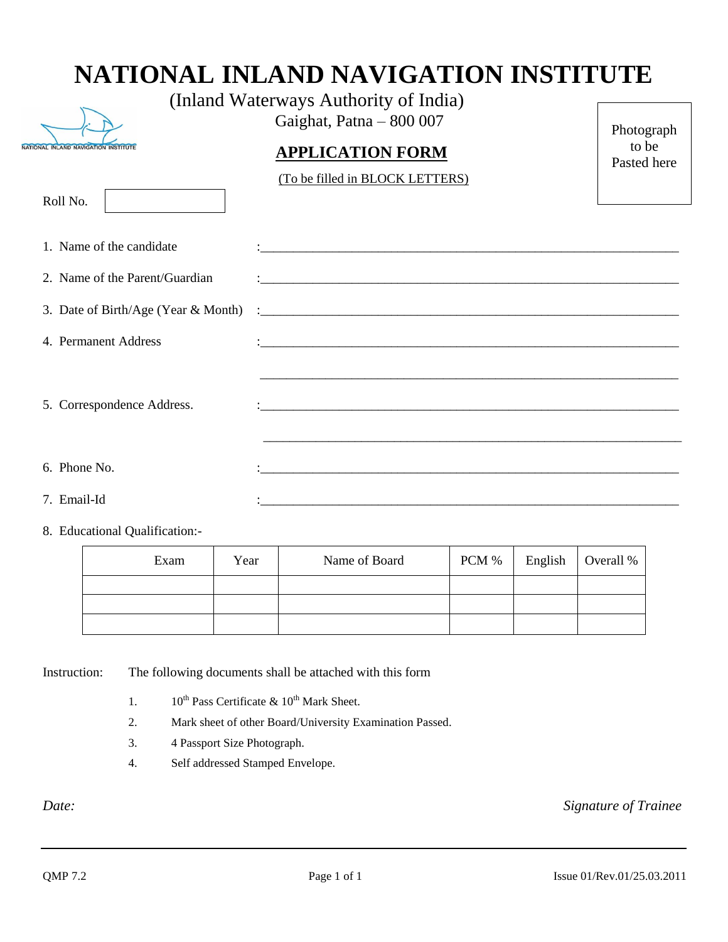## **NATIONAL INLAND NAVIGATION INSTITUTE**



Roll No.

Gaighat, Patna – 800 007

## **APPLICATION FORM**

Photograph to be Pasted here

(To be filled in BLOCK LETTERS)

| 1. Name of the candidate       |  |
|--------------------------------|--|
| 2. Name of the Parent/Guardian |  |
|                                |  |
| 4. Permanent Address           |  |
|                                |  |
| 5. Correspondence Address.     |  |
|                                |  |
| 6. Phone No.                   |  |
|                                |  |
| 7. Email-Id                    |  |

8. Educational Qualification:-

| Exam | Year | Name of Board | PCM % | English | Overall % |
|------|------|---------------|-------|---------|-----------|
|      |      |               |       |         |           |
|      |      |               |       |         |           |
|      |      |               |       |         |           |

Instruction: The following documents shall be attached with this form

- 1.  $10^{th}$  Pass Certificate &  $10^{th}$  Mark Sheet.
- 2. Mark sheet of other Board/University Examination Passed.
- 3. 4 Passport Size Photograph.
- 4. Self addressed Stamped Envelope.

*Date: Signature of Trainee*